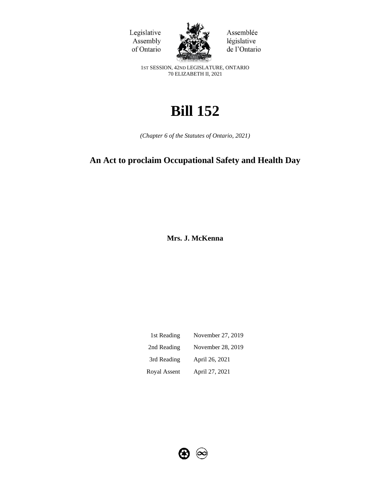



Assemblée législative de l'Ontario

1ST SESSION, 42ND LEGISLATURE, ONTARIO 70 ELIZABETH II, 2021

# **Bill 152**

*(Chapter 6 of the Statutes of Ontario, 2021)*

## **An Act to proclaim Occupational Safety and Health Day**

**Mrs. J. McKenna**

| 1st Reading  | November 27, 2019 |
|--------------|-------------------|
| 2nd Reading  | November 28, 2019 |
| 3rd Reading  | April 26, 2021    |
| Royal Assent | April 27, 2021    |